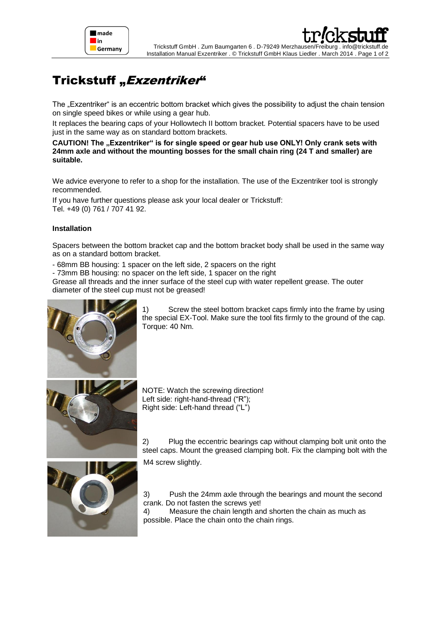

## Trickstuff "Exzentriker"

The "Exzentriker" is an eccentric bottom bracket which gives the possibility to adjust the chain tension on single speed bikes or while using a gear hub.

It replaces the bearing caps of your Hollowtech II bottom bracket. Potential spacers have to be used just in the same way as on standard bottom brackets.

CAUTION! The "Exzentriker" is for single speed or gear hub use ONLY! Only crank sets with **24mm axle and without the mounting bosses for the small chain ring (24 T and smaller) are suitable.**

We advice everyone to refer to a shop for the installation. The use of the Exzentriker tool is strongly recommended.

If you have further questions please ask your local dealer or Trickstuff: Tel. +49 (0) 761 / 707 41 92.

## **Installation**

Spacers between the bottom bracket cap and the bottom bracket body shall be used in the same way as on a standard bottom bracket.

- 68mm BB housing: 1 spacer on the left side, 2 spacers on the right

- 73mm BB housing: no spacer on the left side, 1 spacer on the right

Grease all threads and the inner surface of the steel cup with water repellent grease. The outer diameter of the steel cup must not be greased!



1) Screw the steel bottom bracket caps firmly into the frame by using the special EX-Tool. Make sure the tool fits firmly to the ground of the cap. Torque: 40 Nm.





2) Plug the eccentric bearings cap without clamping bolt unit onto the steel caps. Mount the greased clamping bolt. Fix the clamping bolt with the

M4 screw slightly.

3) Push the 24mm axle through the bearings and mount the second crank. Do not fasten the screws yet!

4) Measure the chain length and shorten the chain as much as possible. Place the chain onto the chain rings.